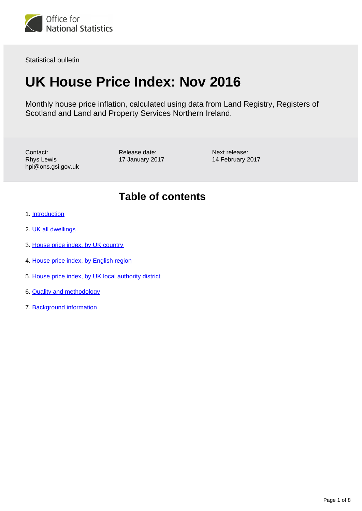

Statistical bulletin

# **UK House Price Index: Nov 2016**

Monthly house price inflation, calculated using data from Land Registry, Registers of Scotland and Land and Property Services Northern Ireland.

Contact: Rhys Lewis hpi@ons.gsi.gov.uk Release date: 17 January 2017 Next release: 14 February 2017

### **Table of contents**

- 1. [Introduction](#page-1-0)
- 2. [UK all dwellings](#page-1-1)
- 3. [House price index, by UK country](#page-2-0)
- 4. [House price index, by English region](#page-3-0)
- 5. [House price index, by UK local authority district](#page-5-0)
- 6. [Quality and methodology](#page-6-0)
- 7. [Background information](#page-6-1)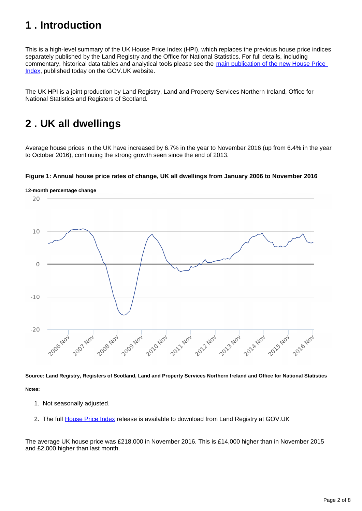# <span id="page-1-0"></span>**1 . Introduction**

This is a high-level summary of the UK House Price Index (HPI), which replaces the previous house price indices separately published by the Land Registry and the Office for National Statistics. For full details, including commentary, historical data tables and analytical tools please see the [main publication of the new House Price](https://www.gov.uk/government/collections/uk-house-price-index-reports)  [Index](https://www.gov.uk/government/collections/uk-house-price-index-reports), published today on the GOV.UK website.

The UK HPI is a joint production by Land Registry, Land and Property Services Northern Ireland, Office for National Statistics and Registers of Scotland.

### <span id="page-1-1"></span>**2 . UK all dwellings**

Average house prices in the UK have increased by 6.7% in the year to November 2016 (up from 6.4% in the year to October 2016), continuing the strong growth seen since the end of 2013.

### **Figure 1: Annual house price rates of change, UK all dwellings from January 2006 to November 2016**



**Source: Land Registry, Registers of Scotland, Land and Property Services Northern Ireland and Office for National Statistics Notes:**

- 1. Not seasonally adjusted.
- 2. The full [House Price Index](https://www.gov.uk/government/collections/uk-house-price-index-reports) release is available to download from Land Registry at GOV.UK

The average UK house price was £218,000 in November 2016. This is £14,000 higher than in November 2015 and £2,000 higher than last month.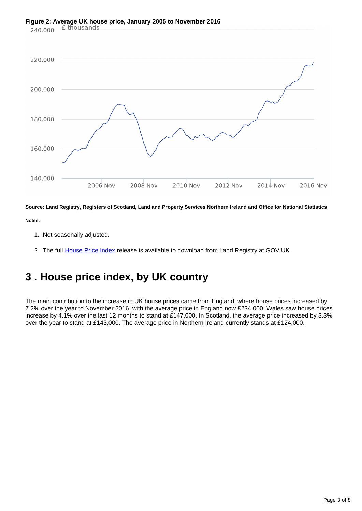# **Figure 2: Average UK house price, January 2005 to November 2016**<br>240.000 **£ thousands**



**Source: Land Registry, Registers of Scotland, Land and Property Services Northern Ireland and Office for National Statistics**

**Notes:**

- 1. Not seasonally adjusted.
- 2. The full <u>House Price Index</u> release is available to download from Land Registry at GOV.UK.

# <span id="page-2-0"></span>**3 . House price index, by UK country**

The main contribution to the increase in UK house prices came from England, where house prices increased by 7.2% over the year to November 2016, with the average price in England now £234,000. Wales saw house prices increase by 4.1% over the last 12 months to stand at £147,000. In Scotland, the average price increased by 3.3% over the year to stand at £143,000. The average price in Northern Ireland currently stands at £124,000.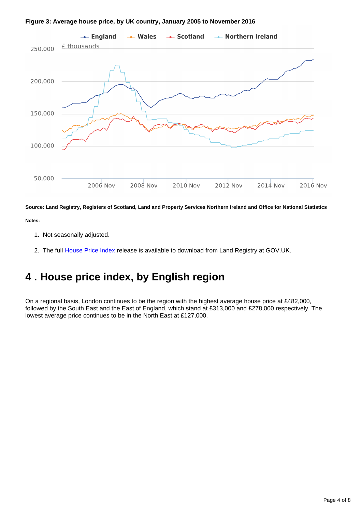



**Source: Land Registry, Registers of Scotland, Land and Property Services Northern Ireland and Office for National Statistics**

**Notes:**

- 1. Not seasonally adjusted.
- 2. The full <u>House Price Index</u> release is available to download from Land Registry at GOV.UK.

### <span id="page-3-0"></span>**4 . House price index, by English region**

On a regional basis, London continues to be the region with the highest average house price at £482,000, followed by the South East and the East of England, which stand at £313,000 and £278,000 respectively. The lowest average price continues to be in the North East at £127,000.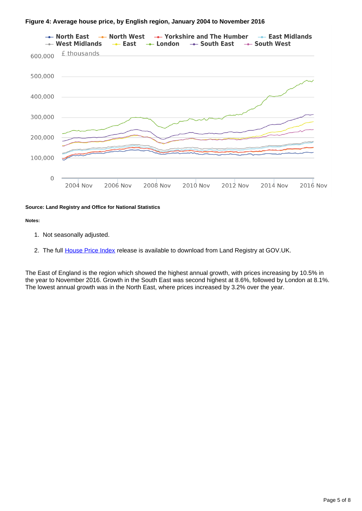#### **Figure 4: Average house price, by English region, January 2004 to November 2016**



#### **Source: Land Registry and Office for National Statistics**

#### **Notes:**

- 1. Not seasonally adjusted.
- 2. The full <u>House Price Index</u> release is available to download from Land Registry at GOV.UK.

The East of England is the region which showed the highest annual growth, with prices increasing by 10.5% in the year to November 2016. Growth in the South East was second highest at 8.6%, followed by London at 8.1%. The lowest annual growth was in the North East, where prices increased by 3.2% over the year.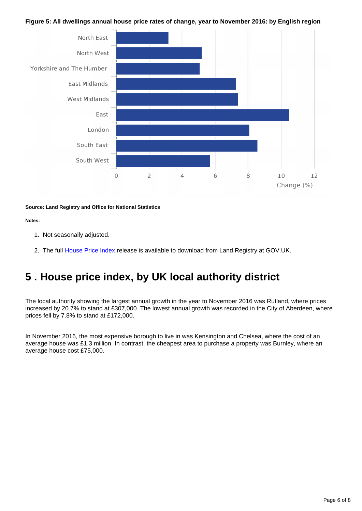### **Figure 5: All dwellings annual house price rates of change, year to November 2016: by English region**



#### **Source: Land Registry and Office for National Statistics**

#### **Notes:**

- 1. Not seasonally adjusted.
- 2. The full <u>House Price Index</u> release is available to download from Land Registry at GOV.UK.

### <span id="page-5-0"></span>**5 . House price index, by UK local authority district**

The local authority showing the largest annual growth in the year to November 2016 was Rutland, where prices increased by 20.7% to stand at £307,000. The lowest annual growth was recorded in the City of Aberdeen, where prices fell by 7.8% to stand at £172,000.

In November 2016, the most expensive borough to live in was Kensington and Chelsea, where the cost of an average house was £1.3 million. In contrast, the cheapest area to purchase a property was Burnley, where an average house cost £75,000.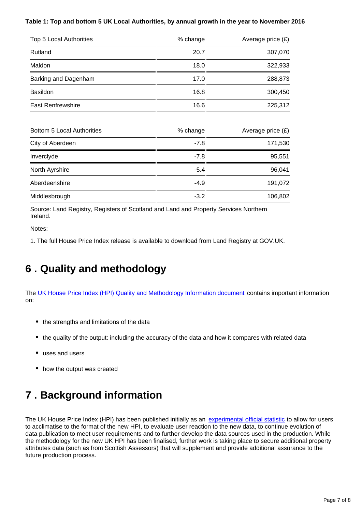### **Table 1: Top and bottom 5 UK Local Authorities, by annual growth in the year to November 2016**

| Top 5 Local Authorities           | % change | Average price $(E)$ |
|-----------------------------------|----------|---------------------|
| Rutland                           | 20.7     | 307,070             |
| Maldon                            | 18.0     | 322,933             |
| Barking and Dagenham              | 17.0     | 288,873             |
| <b>Basildon</b>                   | 16.8     | 300,450             |
| <b>East Renfrewshire</b>          | 16.6     | 225,312             |
| <b>Bottom 5 Local Authorities</b> | % change | Average price $(E)$ |
| City of Aberdeen                  | $-7.8$   | 171,530             |
| Inverclyde                        | $-7.8$   | 95,551              |
| North Ayrshire                    | $-5.4$   | 96,041              |
| Aberdeenshire                     | $-4.9$   | 191,072             |

Source: Land Registry, Registers of Scotland and Land and Property Services Northern Ireland.

Notes:

1. The full House Price Index release is available to download from Land Registry at GOV.UK.

Middlesbrough **-3.2** 106,802

### <span id="page-6-0"></span>**6 . Quality and methodology**

The [UK House Price Index \(HPI\) Quality and Methodology Information document](http://www.ons.gov.uk/economy/inflationandpriceindices/qmis/housepriceindexhpiqmi) contains important information on:

- the strengths and limitations of the data
- the quality of the output: including the accuracy of the data and how it compares with related data
- uses and users
- how the output was created

# <span id="page-6-1"></span>**7 . Background information**

The UK House Price Index (HPI) has been published initially as an [experimental official statistic](https://www.ons.gov.uk/methodology/methodologytopicsandstatisticalconcepts/guidetoexperimentalstatistics) to allow for users to acclimatise to the format of the new HPI, to evaluate user reaction to the new data, to continue evolution of data publication to meet user requirements and to further develop the data sources used in the production. While the methodology for the new UK HPI has been finalised, further work is taking place to secure additional property attributes data (such as from Scottish Assessors) that will supplement and provide additional assurance to the future production process.